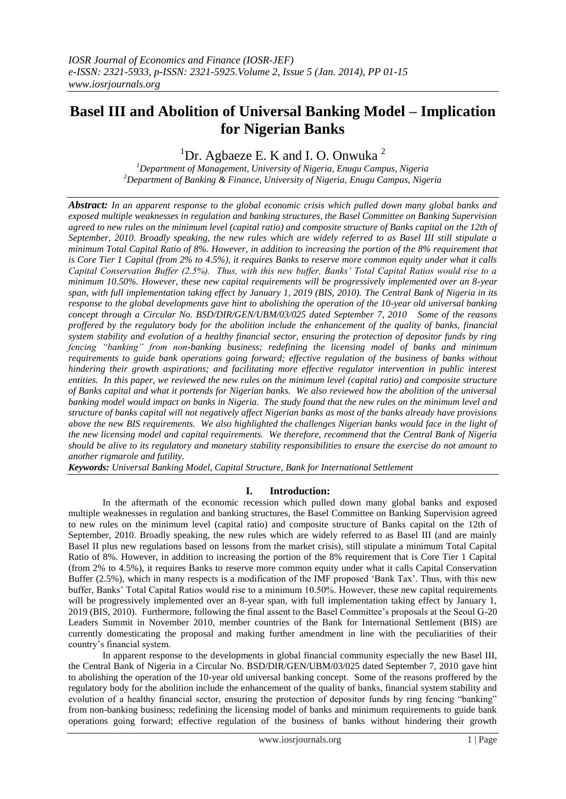# **Basel III and Abolition of Universal Banking Model – Implication for Nigerian Banks**

<sup>1</sup>Dr. Agbaeze E. K and I. O. Onwuka<sup>2</sup>

*<sup>1</sup>Department of Management, University of Nigeria, Enugu Campus, Nigeria <sup>2</sup>Department of Banking & Finance, University of Nigeria, Enugu Campus, Nigeria*

*Abstract: In an apparent response to the global economic crisis which pulled down many global banks and exposed multiple weaknesses in regulation and banking structures, the Basel Committee on Banking Supervision*  agreed to new rules on the minimum level (capital ratio) and composite structure of Banks capital on the 12th of *September, 2010. Broadly speaking, the new rules which are widely referred to as Basel III still stipulate a minimum Total Capital Ratio of 8%. However, in addition to increasing the portion of the 8% requirement that is Core Tier 1 Capital (from 2% to 4.5%), it requires Banks to reserve more common equity under what it calls Capital Conservation Buffer (2.5%). Thus, with this new buffer, Banks' Total Capital Ratios would rise to a minimum 10.50%. However, these new capital requirements will be progressively implemented over an 8-year span, with full implementation taking effect by January 1, 2019 (BIS, 2010). The Central Bank of Nigeria in its response to the global developments gave hint to abolishing the operation of the 10-year old universal banking concept through a Circular No. BSD/DIR/GEN/UBM/03/025 dated September 7, 2010 Some of the reasons proffered by the regulatory body for the abolition include the enhancement of the quality of banks, financial system stability and evolution of a healthy financial sector, ensuring the protection of depositor funds by ring fencing "banking" from non-banking business; redefining the licensing model of banks and minimum requirements to guide bank operations going forward; effective regulation of the business of banks without hindering their growth aspirations; and facilitating more effective regulator intervention in public interest entities. In this paper, we reviewed the new rules on the minimum level (capital ratio) and composite structure of Banks capital and what it portends for Nigerian banks. We also reviewed how the abolition of the universal banking model would impact on banks in Nigeria. The study found that the new rules on the minimum level and structure of banks capital will not negatively affect Nigerian banks as most of the banks already have provisions above the new BIS requirements. We also highlighted the challenges Nigerian banks would face in the light of the new licensing model and capital requirements. We therefore, recommend that the Central Bank of Nigeria should be alive to its regulatory and monetary stability responsibilities to ensure the exercise do not amount to another rigmarole and futility.*

*Keywords: Universal Banking Model, Capital Structure, Bank for International Settlement*

#### **I. Introduction:**

In the aftermath of the economic recession which pulled down many global banks and exposed multiple weaknesses in regulation and banking structures, the Basel Committee on Banking Supervision agreed to new rules on the minimum level (capital ratio) and composite structure of Banks capital on the 12th of September, 2010. Broadly speaking, the new rules which are widely referred to as Basel III (and are mainly Basel II plus new regulations based on lessons from the market crisis), still stipulate a minimum Total Capital Ratio of 8%. However, in addition to increasing the portion of the 8% requirement that is Core Tier 1 Capital (from 2% to 4.5%), it requires Banks to reserve more common equity under what it calls Capital Conservation Buffer (2.5%), which in many respects is a modification of the IMF proposed 'Bank Tax'. Thus, with this new buffer, Banks" Total Capital Ratios would rise to a minimum 10.50%. However, these new capital requirements will be progressively implemented over an 8-year span, with full implementation taking effect by January 1, 2019 (BIS, 2010). Furthermore, following the final assent to the Basel Committee"s proposals at the Seoul G-20 Leaders Summit in November 2010, member countries of the Bank for International Settlement (BIS) are currently domesticating the proposal and making further amendment in line with the peculiarities of their country"s financial system.

In apparent response to the developments in global financial community especially the new Basel III, the Central Bank of Nigeria in a Circular No. BSD/DIR/GEN/UBM/03/025 dated September 7, 2010 gave hint to abolishing the operation of the 10-year old universal banking concept. Some of the reasons proffered by the regulatory body for the abolition include the enhancement of the quality of banks, financial system stability and evolution of a healthy financial sector, ensuring the protection of depositor funds by ring fencing "banking" from non-banking business; redefining the licensing model of banks and minimum requirements to guide bank operations going forward; effective regulation of the business of banks without hindering their growth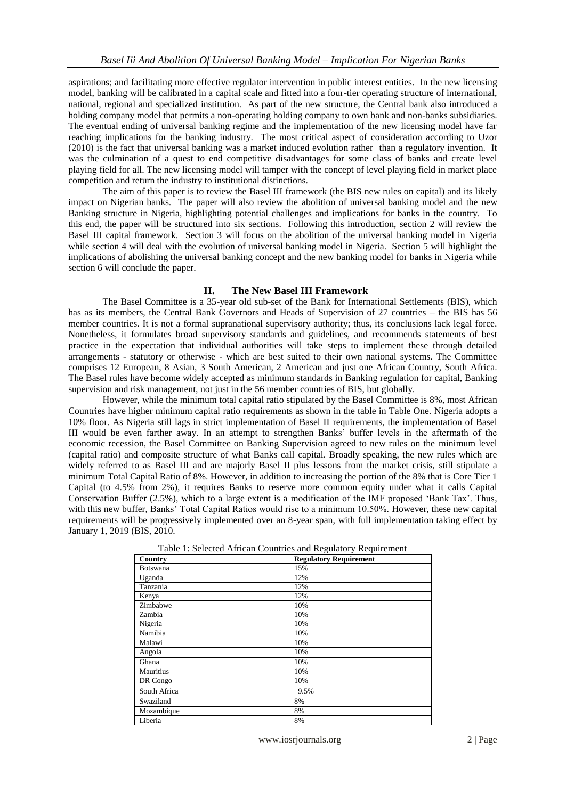aspirations; and facilitating more effective regulator intervention in public interest entities. In the new licensing model, banking will be calibrated in a capital scale and fitted into a four-tier operating structure of international, national, regional and specialized institution. As part of the new structure, the Central bank also introduced a holding company model that permits a non-operating holding company to own bank and non-banks subsidiaries. The eventual ending of universal banking regime and the implementation of the new licensing model have far reaching implications for the banking industry. The most critical aspect of consideration according to Uzor (2010) is the fact that universal banking was a market induced evolution rather than a regulatory invention. It was the culmination of a quest to end competitive disadvantages for some class of banks and create level playing field for all. The new licensing model will tamper with the concept of level playing field in market place competition and return the industry to institutional distinctions.

The aim of this paper is to review the Basel III framework (the BIS new rules on capital) and its likely impact on Nigerian banks. The paper will also review the abolition of universal banking model and the new Banking structure in Nigeria, highlighting potential challenges and implications for banks in the country. To this end, the paper will be structured into six sections. Following this introduction, section 2 will review the Basel III capital framework. Section 3 will focus on the abolition of the universal banking model in Nigeria while section 4 will deal with the evolution of universal banking model in Nigeria. Section 5 will highlight the implications of abolishing the universal banking concept and the new banking model for banks in Nigeria while section 6 will conclude the paper.

#### **II. The New Basel III Framework**

The Basel Committee is a 35-year old sub-set of the Bank for International Settlements (BIS), which has as its members, the Central Bank Governors and Heads of Supervision of 27 countries – the BIS has 56 member countries. It is not a formal supranational supervisory authority; thus, its conclusions lack legal force. Nonetheless, it formulates broad supervisory standards and guidelines, and recommends statements of best practice in the expectation that individual authorities will take steps to implement these through detailed arrangements - statutory or otherwise - which are best suited to their own national systems. The Committee comprises 12 European, 8 Asian, 3 South American, 2 American and just one African Country, South Africa. The Basel rules have become widely accepted as minimum standards in Banking regulation for capital, Banking supervision and risk management, not just in the 56 member countries of BIS, but globally.

However, while the minimum total capital ratio stipulated by the Basel Committee is 8%, most African Countries have higher minimum capital ratio requirements as shown in the table in Table One. Nigeria adopts a 10% floor. As Nigeria still lags in strict implementation of Basel II requirements, the implementation of Basel III would be even farther away. In an attempt to strengthen Banks" buffer levels in the aftermath of the economic recession, the Basel Committee on Banking Supervision agreed to new rules on the minimum level (capital ratio) and composite structure of what Banks call capital. Broadly speaking, the new rules which are widely referred to as Basel III and are majorly Basel II plus lessons from the market crisis, still stipulate a minimum Total Capital Ratio of 8%. However, in addition to increasing the portion of the 8% that is Core Tier 1 Capital (to 4.5% from 2%), it requires Banks to reserve more common equity under what it calls Capital Conservation Buffer (2.5%), which to a large extent is a modification of the IMF proposed "Bank Tax". Thus, with this new buffer, Banks' Total Capital Ratios would rise to a minimum 10.50%. However, these new capital requirements will be progressively implemented over an 8-year span, with full implementation taking effect by January 1, 2019 (BIS, 2010.

| Country         | <b>Regulatory Requirement</b> |
|-----------------|-------------------------------|
| <b>Botswana</b> | 15%                           |
| Uganda          | 12%                           |
| Tanzania        | 12%                           |
| Kenya           | 12%                           |
| Zimbabwe        | 10%                           |
| Zambia          | 10%                           |
| Nigeria         | 10%                           |
| Namibia         | 10%                           |
| Malawi          | 10%                           |
| Angola          | 10%                           |
| Ghana           | 10%                           |
| Mauritius       | 10%                           |
| DR Congo        | 10%                           |
| South Africa    | 9.5%                          |
| Swaziland       | 8%                            |
| Mozambique      | 8%                            |
| Liberia         | 8%                            |

Table 1: Selected African Countries and Regulatory Requirement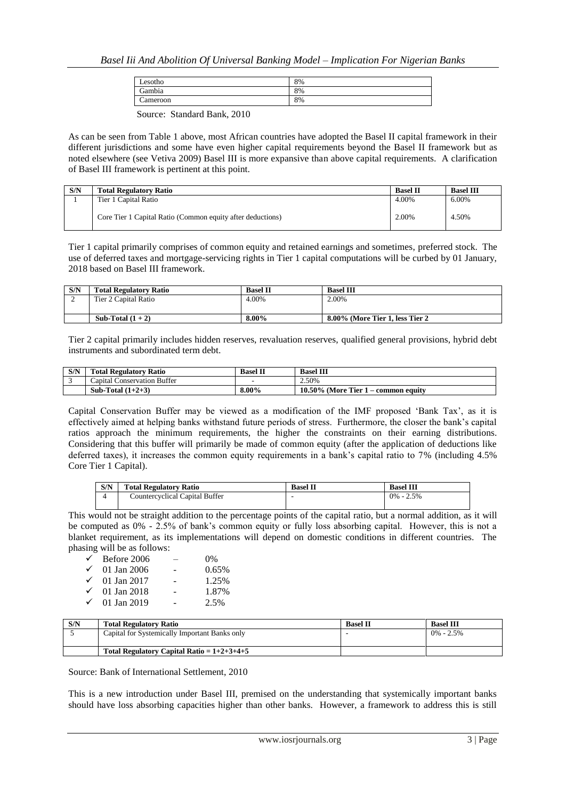| Lesotho     | 8% |
|-------------|----|
| Gambia<br>∼ | 8% |
| `ameroon    | 8% |

Source: Standard Bank, 2010

As can be seen from Table 1 above, most African countries have adopted the Basel II capital framework in their different jurisdictions and some have even higher capital requirements beyond the Basel II framework but as noted elsewhere (see Vetiva 2009) Basel III is more expansive than above capital requirements. A clarification of Basel III framework is pertinent at this point.

| S/N | <b>Total Regulatory Ratio</b>                              | <b>Basel II</b> | <b>Basel III</b> |
|-----|------------------------------------------------------------|-----------------|------------------|
|     | Tier 1 Capital Ratio                                       | 4.00%           | 6.00%            |
|     | Core Tier 1 Capital Ratio (Common equity after deductions) | 2.00%           | 4.50%            |

Tier 1 capital primarily comprises of common equity and retained earnings and sometimes, preferred stock. The use of deferred taxes and mortgage-servicing rights in Tier 1 capital computations will be curbed by 01 January, 2018 based on Basel III framework.

| S/N | <b>Total Regulatory Ratio</b> | <b>Basel II</b> | <b>Basel III</b>                 |
|-----|-------------------------------|-----------------|----------------------------------|
| ∼   | Tier 2 Capital Ratio          | 4.00%           | 2.00%                            |
|     |                               |                 |                                  |
|     | Sub-Total $(1 + 2)$           | 8.00%           | 8.00% (More Tier 1, less Tier 2) |

Tier 2 capital primarily includes hidden reserves, revaluation reserves, qualified general provisions, hybrid debt instruments and subordinated term debt.

| S/N | <b>Total Regulatory Ratio</b> | <b>Basel II</b> | <b>Basel III</b>                       |
|-----|-------------------------------|-----------------|----------------------------------------|
|     | Capital Conservation Buffer   |                 | 2.50%                                  |
|     | Sub-Total $(1+2+3)$           | 8.00%           | $10.50\%$ (More Tier 1 – common equity |

Capital Conservation Buffer may be viewed as a modification of the IMF proposed "Bank Tax", as it is effectively aimed at helping banks withstand future periods of stress. Furthermore, the closer the bank's capital ratios approach the minimum requirements, the higher the constraints on their earning distributions. Considering that this buffer will primarily be made of common equity (after the application of deductions like deferred taxes), it increases the common equity requirements in a bank"s capital ratio to 7% (including 4.5% Core Tier 1 Capital).

| S/N | <b>Total Regulatory Ratio</b>  | <b>Basel II</b> | <b>Basel III</b> |
|-----|--------------------------------|-----------------|------------------|
|     | Countercyclical Capital Buffer |                 | 0%<br>$-2.5%$    |

This would not be straight addition to the percentage points of the capital ratio, but a normal addition, as it will be computed as 0% - 2.5% of bank"s common equity or fully loss absorbing capital. However, this is not a blanket requirement, as its implementations will depend on domestic conditions in different countries. The phasing will be as follows:

| Before 2006 | $0\%$ |
|-------------|-------|
| 01 Jan 2006 | 0.65% |
| 01 Jan 2017 | 1.25% |
| 01 Jan 2018 | 1.87% |
| 01 Jan 2019 | 2.5%  |
|             |       |

| S/N | <b>Total Regulatory Ratio</b>                 | <b>Basel II</b> | <b>Basel III</b> |
|-----|-----------------------------------------------|-----------------|------------------|
|     | Capital for Systemically Important Banks only |                 | $0\% - 2.5\%$    |
|     | Total Regulatory Capital Ratio = $1+2+3+4+5$  |                 |                  |

Source: Bank of International Settlement, 2010

This is a new introduction under Basel III, premised on the understanding that systemically important banks should have loss absorbing capacities higher than other banks. However, a framework to address this is still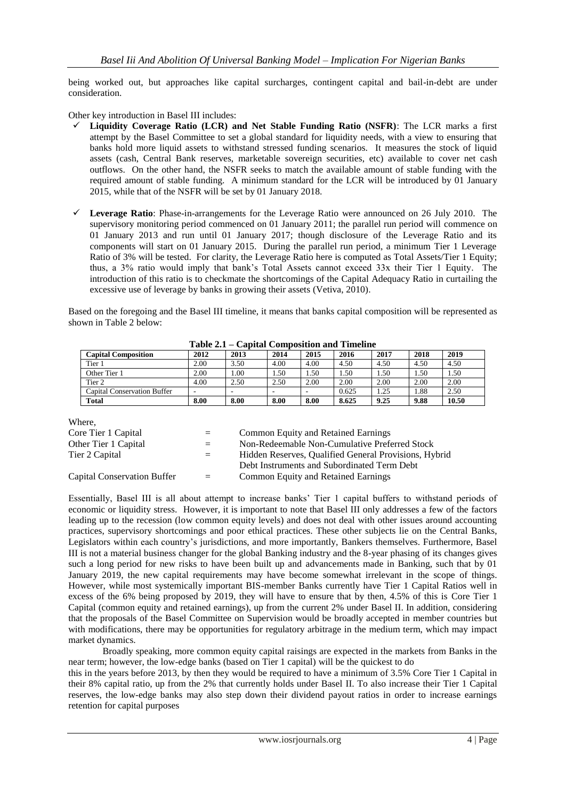being worked out, but approaches like capital surcharges, contingent capital and bail-in-debt are under consideration.

Other key introduction in Basel III includes:

- **Liquidity Coverage Ratio (LCR) and Net Stable Funding Ratio (NSFR)**: The LCR marks a first attempt by the Basel Committee to set a global standard for liquidity needs, with a view to ensuring that banks hold more liquid assets to withstand stressed funding scenarios. It measures the stock of liquid assets (cash, Central Bank reserves, marketable sovereign securities, etc) available to cover net cash outflows. On the other hand, the NSFR seeks to match the available amount of stable funding with the required amount of stable funding. A minimum standard for the LCR will be introduced by 01 January 2015, while that of the NSFR will be set by 01 January 2018.
- **Leverage Ratio**: Phase-in-arrangements for the Leverage Ratio were announced on 26 July 2010. The supervisory monitoring period commenced on 01 January 2011; the parallel run period will commence on 01 January 2013 and run until 01 January 2017; though disclosure of the Leverage Ratio and its components will start on 01 January 2015. During the parallel run period, a minimum Tier 1 Leverage Ratio of 3% will be tested. For clarity, the Leverage Ratio here is computed as Total Assets/Tier 1 Equity; thus, a 3% ratio would imply that bank"s Total Assets cannot exceed 33x their Tier 1 Equity. The introduction of this ratio is to checkmate the shortcomings of the Capital Adequacy Ratio in curtailing the excessive use of leverage by banks in growing their assets (Vetiva, 2010).

Based on the foregoing and the Basel III timeline, it means that banks capital composition will be represented as shown in Table 2 below:

|                                    | 1 U.J.V 211 |      |      |      | Сариаг Соннрозион ана типенис |        |      |        |
|------------------------------------|-------------|------|------|------|-------------------------------|--------|------|--------|
| <b>Capital Composition</b>         | 2012        | 2013 | 2014 | 2015 | 2016                          | 2017   | 2018 | 2019   |
| Tier <sub>1</sub>                  | 2.00        | 3.50 | 4.00 | 4.00 | 4.50                          | 4.50   | 4.50 | 4.50   |
| Other Tier 1                       | 2.00        | .00. | 1.50 | . 50 | .50                           | . . 50 | . 50 | . . 50 |
| Tier <sub>2</sub>                  | 4.00        | 2.50 | 2.50 | 2.00 | 2.00                          | 2.00   | 2.00 | 2.00   |
| <b>Capital Conservation Buffer</b> |             | -    |      |      | 0.625                         | . 25   | .88  | 2.50   |
| <b>Total</b>                       | 8.00        | 8.00 | 8.00 | 8.00 | 8.625                         | 9.25   | 9.88 | 10.50  |

**Table 2.1 – Capital Composition and Timeline**

Where,

| Core Tier 1 Capital         | $=$ $-$ | Common Equity and Retained Earnings                   |
|-----------------------------|---------|-------------------------------------------------------|
| Other Tier 1 Capital        | $=$ $-$ | Non-Redeemable Non-Cumulative Preferred Stock         |
| Tier 2 Capital              | $=$ $-$ | Hidden Reserves, Qualified General Provisions, Hybrid |
|                             |         | Debt Instruments and Subordinated Term Debt           |
| Capital Conservation Buffer | $=$     | <b>Common Equity and Retained Earnings</b>            |
|                             |         |                                                       |

Essentially, Basel III is all about attempt to increase banks" Tier 1 capital buffers to withstand periods of economic or liquidity stress. However, it is important to note that Basel III only addresses a few of the factors leading up to the recession (low common equity levels) and does not deal with other issues around accounting practices, supervisory shortcomings and poor ethical practices. These other subjects lie on the Central Banks, Legislators within each country"s jurisdictions, and more importantly, Bankers themselves. Furthermore, Basel III is not a material business changer for the global Banking industry and the 8-year phasing of its changes gives such a long period for new risks to have been built up and advancements made in Banking, such that by 01 January 2019, the new capital requirements may have become somewhat irrelevant in the scope of things. However, while most systemically important BIS-member Banks currently have Tier 1 Capital Ratios well in excess of the 6% being proposed by 2019, they will have to ensure that by then, 4.5% of this is Core Tier 1 Capital (common equity and retained earnings), up from the current 2% under Basel II. In addition, considering that the proposals of the Basel Committee on Supervision would be broadly accepted in member countries but with modifications, there may be opportunities for regulatory arbitrage in the medium term, which may impact market dynamics.

Broadly speaking, more common equity capital raisings are expected in the markets from Banks in the near term; however, the low-edge banks (based on Tier 1 capital) will be the quickest to do

this in the years before 2013, by then they would be required to have a minimum of 3.5% Core Tier 1 Capital in their 8% capital ratio, up from the 2% that currently holds under Basel II. To also increase their Tier 1 Capital reserves, the low-edge banks may also step down their dividend payout ratios in order to increase earnings retention for capital purposes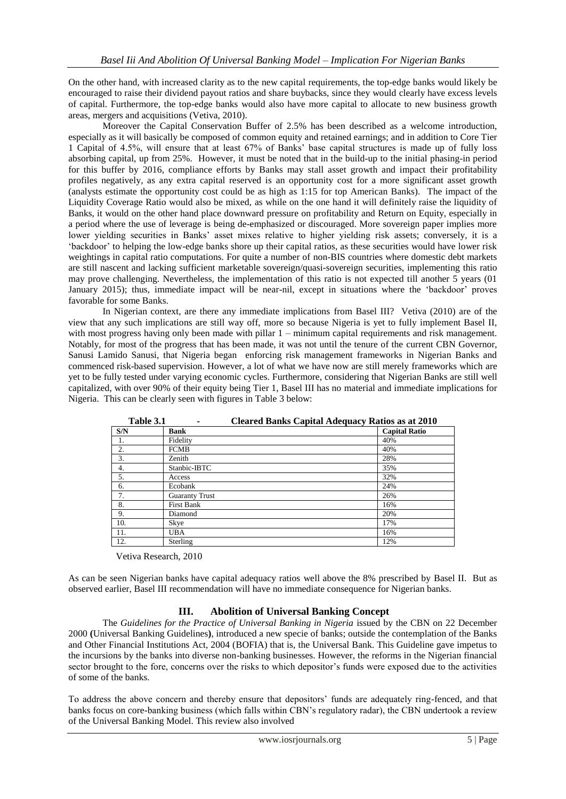On the other hand, with increased clarity as to the new capital requirements, the top-edge banks would likely be encouraged to raise their dividend payout ratios and share buybacks, since they would clearly have excess levels of capital. Furthermore, the top-edge banks would also have more capital to allocate to new business growth areas, mergers and acquisitions (Vetiva, 2010).

Moreover the Capital Conservation Buffer of 2.5% has been described as a welcome introduction, especially as it will basically be composed of common equity and retained earnings; and in addition to Core Tier 1 Capital of 4.5%, will ensure that at least 67% of Banks" base capital structures is made up of fully loss absorbing capital, up from 25%. However, it must be noted that in the build-up to the initial phasing-in period for this buffer by 2016, compliance efforts by Banks may stall asset growth and impact their profitability profiles negatively, as any extra capital reserved is an opportunity cost for a more significant asset growth (analysts estimate the opportunity cost could be as high as 1:15 for top American Banks). The impact of the Liquidity Coverage Ratio would also be mixed, as while on the one hand it will definitely raise the liquidity of Banks, it would on the other hand place downward pressure on profitability and Return on Equity, especially in a period where the use of leverage is being de-emphasized or discouraged. More sovereign paper implies more lower yielding securities in Banks' asset mixes relative to higher yielding risk assets; conversely, it is a "backdoor" to helping the low-edge banks shore up their capital ratios, as these securities would have lower risk weightings in capital ratio computations. For quite a number of non-BIS countries where domestic debt markets are still nascent and lacking sufficient marketable sovereign/quasi-sovereign securities, implementing this ratio may prove challenging. Nevertheless, the implementation of this ratio is not expected till another  $\bar{5}$  years (01) January 2015); thus, immediate impact will be near-nil, except in situations where the "backdoor" proves favorable for some Banks.

In Nigerian context, are there any immediate implications from Basel III? Vetiva (2010) are of the view that any such implications are still way off, more so because Nigeria is yet to fully implement Basel II, with most progress having only been made with pillar 1 – minimum capital requirements and risk management. Notably, for most of the progress that has been made, it was not until the tenure of the current CBN Governor, Sanusi Lamido Sanusi, that Nigeria began enforcing risk management frameworks in Nigerian Banks and commenced risk-based supervision. However, a lot of what we have now are still merely frameworks which are yet to be fully tested under varying economic cycles. Furthermore, considering that Nigerian Banks are still well capitalized, with over 90% of their equity being Tier 1, Basel III has no material and immediate implications for Nigeria. This can be clearly seen with figures in Table 3 below:

| 1 apie 5.1 | Cleared Danks Capital Adequacy Ratios as at 2010 |                      |
|------------|--------------------------------------------------|----------------------|
| S/N        | <b>Bank</b>                                      | <b>Capital Ratio</b> |
| 1.         | Fidelity                                         | 40%                  |
| 2.         | <b>FCMB</b>                                      | 40%                  |
| 3.         | Zenith                                           | 28%                  |
| 4.         | Stanbic-IBTC                                     | 35%                  |
| 5.         | Access                                           | 32%                  |
| 6.         | Ecobank                                          | 24%                  |
| 7.         | <b>Guaranty Trust</b>                            | 26%                  |
| 8.         | <b>First Bank</b>                                | 16%                  |
| 9.         | Diamond                                          | 20%                  |
| 10.        | Skye                                             | 17%                  |
| 11.        | <b>UBA</b>                                       | 16%                  |
| 12.        | Sterling                                         | 12%                  |

| Table 3.1 |  | <b>Cleared Banks Capital Adequacy Ratios as at 2010</b> |
|-----------|--|---------------------------------------------------------|
|           |  |                                                         |

Vetiva Research, 2010

As can be seen Nigerian banks have capital adequacy ratios well above the 8% prescribed by Basel II. But as observed earlier, Basel III recommendation will have no immediate consequence for Nigerian banks.

#### **III. Abolition of Universal Banking Concept**

The *Guidelines for the Practice of Universal Banking in Nigeria* issued by the CBN on 22 December 2000 **(**Universal Banking Guidelines**)**, introduced a new specie of banks; outside the contemplation of the Banks and Other Financial Institutions Act, 2004 (BOFIA) that is, the Universal Bank. This Guideline gave impetus to the incursions by the banks into diverse non-banking businesses. However, the reforms in the Nigerian financial sector brought to the fore, concerns over the risks to which depositor's funds were exposed due to the activities of some of the banks.

To address the above concern and thereby ensure that depositors" funds are adequately ring-fenced, and that banks focus on core-banking business (which falls within CBN"s regulatory radar), the CBN undertook a review of the Universal Banking Model. This review also involved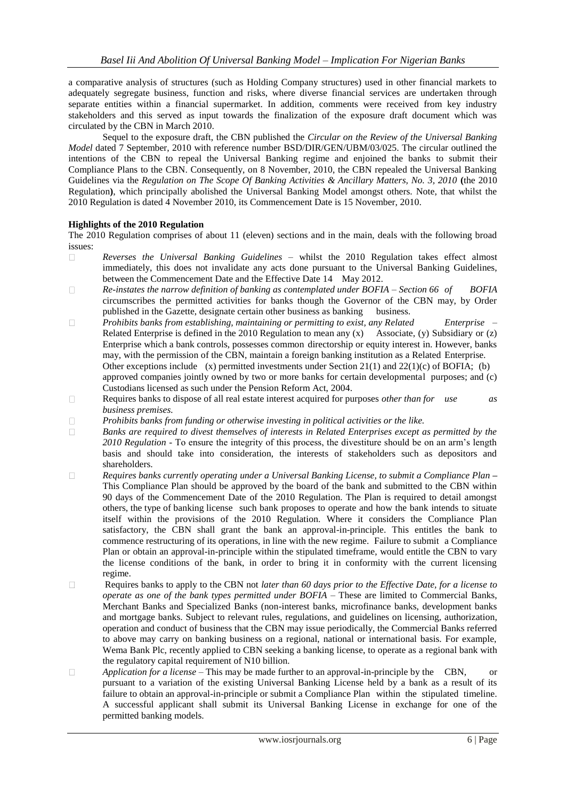a comparative analysis of structures (such as Holding Company structures) used in other financial markets to adequately segregate business, function and risks, where diverse financial services are undertaken through separate entities within a financial supermarket. In addition, comments were received from key industry stakeholders and this served as input towards the finalization of the exposure draft document which was circulated by the CBN in March 2010.

Sequel to the exposure draft, the CBN published the *Circular on the Review of the Universal Banking Model* dated 7 September, 2010 with reference number BSD/DIR/GEN/UBM/03/025. The circular outlined the intentions of the CBN to repeal the Universal Banking regime and enjoined the banks to submit their Compliance Plans to the CBN. Consequently, on 8 November, 2010, the CBN repealed the Universal Banking Guidelines via the *Regulation on The Scope Of Banking Activities & Ancillary Matters, No. 3, 2010* **(**the 2010 Regulation**)**, which principally abolished the Universal Banking Model amongst others. Note, that whilst the 2010 Regulation is dated 4 November 2010, its Commencement Date is 15 November, 2010.

#### **Highlights of the 2010 Regulation**

The 2010 Regulation comprises of about 11 (eleven) sections and in the main, deals with the following broad issues:

- *Reverses the Universal Banking Guidelines*  whilst the 2010 Regulation takes effect almost  $\Box$ immediately, this does not invalidate any acts done pursuant to the Universal Banking Guidelines, between the Commencement Date and the Effective Date 14 May 2012.
- $\Box$ *Re-instates the narrow definition of banking as contemplated under BOFIA – Section 66 of BOFIA* circumscribes the permitted activities for banks though the Governor of the CBN may, by Order published in the Gazette, designate certain other business as banking business.
- $\Box$ *Prohibits banks from establishing, maintaining or permitting to exist, any Related Enterprise* – Related Enterprise is defined in the 2010 Regulation to mean any (x) Associate, (y) Subsidiary or (z) Enterprise which a bank controls, possesses common directorship or equity interest in. However, banks may, with the permission of the CBN, maintain a foreign banking institution as a Related Enterprise. Other exceptions include (x) permitted investments under Section 21(1) and 22(1)(c) of BOFIA; (b) approved companies jointly owned by two or more banks for certain developmental purposes; and (c) Custodians licensed as such under the Pension Reform Act, 2004.
- $\Box$ Requires banks to dispose of all real estate interest acquired for purposes *other than for use as business premises.*
- $\Box$ *Prohibits banks from funding or otherwise investing in political activities or the like.*
- $\Box$ *Banks are required to divest themselves of interests in Related Enterprises except as permitted by the 2010 Regulation -* To ensure the integrity of this process, the divestiture should be on an arm"s length basis and should take into consideration, the interests of stakeholders such as depositors and shareholders.
- $\Box$ *Requires banks currently operating under a Universal Banking License, to submit a Compliance Plan* **–** This Compliance Plan should be approved by the board of the bank and submitted to the CBN within 90 days of the Commencement Date of the 2010 Regulation. The Plan is required to detail amongst others, the type of banking license such bank proposes to operate and how the bank intends to situate itself within the provisions of the 2010 Regulation. Where it considers the Compliance Plan satisfactory, the CBN shall grant the bank an approval-in-principle. This entitles the bank to commence restructuring of its operations, in line with the new regime. Failure to submit a Compliance Plan or obtain an approval-in-principle within the stipulated timeframe, would entitle the CBN to vary the license conditions of the bank, in order to bring it in conformity with the current licensing regime.
- $\Box$ Requires banks to apply to the CBN not *later than 60 days prior to the Effective Date, for a license to operate as one of the bank types permitted under BOFIA –* These are limited to Commercial Banks, Merchant Banks and Specialized Banks (non-interest banks, microfinance banks, development banks and mortgage banks. Subject to relevant rules, regulations, and guidelines on licensing, authorization, operation and conduct of business that the CBN may issue periodically, the Commercial Banks referred to above may carry on banking business on a regional, national or international basis. For example, Wema Bank Plc, recently applied to CBN seeking a banking license, to operate as a regional bank with the regulatory capital requirement of N10 billion.
- *Application for a license*  This may be made further to an approval-in-principle by the CBN, or  $\Box$ pursuant to a variation of the existing Universal Banking License held by a bank as a result of its failure to obtain an approval-in-principle or submit a Compliance Plan within the stipulated timeline. A successful applicant shall submit its Universal Banking License in exchange for one of the permitted banking models.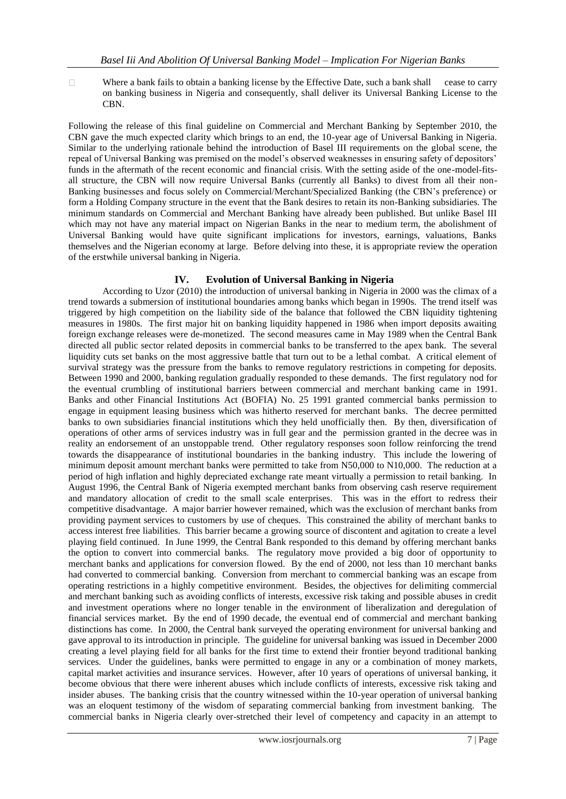$\Box$ Where a bank fails to obtain a banking license by the Effective Date, such a bank shall cease to carry on banking business in Nigeria and consequently, shall deliver its Universal Banking License to the CBN.

Following the release of this final guideline on Commercial and Merchant Banking by September 2010, the CBN gave the much expected clarity which brings to an end, the 10-year age of Universal Banking in Nigeria. Similar to the underlying rationale behind the introduction of Basel III requirements on the global scene, the repeal of Universal Banking was premised on the model's observed weaknesses in ensuring safety of depositors' funds in the aftermath of the recent economic and financial crisis. With the setting aside of the one-model-fitsall structure, the CBN will now require Universal Banks (currently all Banks) to divest from all their non-Banking businesses and focus solely on Commercial/Merchant/Specialized Banking (the CBN"s preference) or form a Holding Company structure in the event that the Bank desires to retain its non-Banking subsidiaries. The minimum standards on Commercial and Merchant Banking have already been published. But unlike Basel III which may not have any material impact on Nigerian Banks in the near to medium term, the abolishment of Universal Banking would have quite significant implications for investors, earnings, valuations, Banks themselves and the Nigerian economy at large. Before delving into these, it is appropriate review the operation of the erstwhile universal banking in Nigeria.

# **IV. Evolution of Universal Banking in Nigeria**

According to Uzor (2010) the introduction of universal banking in Nigeria in 2000 was the climax of a trend towards a submersion of institutional boundaries among banks which began in 1990s. The trend itself was triggered by high competition on the liability side of the balance that followed the CBN liquidity tightening measures in 1980s. The first major hit on banking liquidity happened in 1986 when import deposits awaiting foreign exchange releases were de-monetized. The second measures came in May 1989 when the Central Bank directed all public sector related deposits in commercial banks to be transferred to the apex bank. The several liquidity cuts set banks on the most aggressive battle that turn out to be a lethal combat. A critical element of survival strategy was the pressure from the banks to remove regulatory restrictions in competing for deposits. Between 1990 and 2000, banking regulation gradually responded to these demands. The first regulatory nod for the eventual crumbling of institutional barriers between commercial and merchant banking came in 1991. Banks and other Financial Institutions Act (BOFIA) No. 25 1991 granted commercial banks permission to engage in equipment leasing business which was hitherto reserved for merchant banks. The decree permitted banks to own subsidiaries financial institutions which they held unofficially then. By then, diversification of operations of other arms of services industry was in full gear and the permission granted in the decree was in reality an endorsement of an unstoppable trend. Other regulatory responses soon follow reinforcing the trend towards the disappearance of institutional boundaries in the banking industry. This include the lowering of minimum deposit amount merchant banks were permitted to take from N50,000 to N10,000. The reduction at a period of high inflation and highly depreciated exchange rate meant virtually a permission to retail banking. In August 1996, the Central Bank of Nigeria exempted merchant banks from observing cash reserve requirement and mandatory allocation of credit to the small scale enterprises. This was in the effort to redress their competitive disadvantage. A major barrier however remained, which was the exclusion of merchant banks from providing payment services to customers by use of cheques. This constrained the ability of merchant banks to access interest free liabilities. This barrier became a growing source of discontent and agitation to create a level playing field continued. In June 1999, the Central Bank responded to this demand by offering merchant banks the option to convert into commercial banks. The regulatory move provided a big door of opportunity to merchant banks and applications for conversion flowed. By the end of 2000, not less than 10 merchant banks had converted to commercial banking. Conversion from merchant to commercial banking was an escape from operating restrictions in a highly competitive environment. Besides, the objectives for delimiting commercial and merchant banking such as avoiding conflicts of interests, excessive risk taking and possible abuses in credit and investment operations where no longer tenable in the environment of liberalization and deregulation of financial services market. By the end of 1990 decade, the eventual end of commercial and merchant banking distinctions has come. In 2000, the Central bank surveyed the operating environment for universal banking and gave approval to its introduction in principle. The guideline for universal banking was issued in December 2000 creating a level playing field for all banks for the first time to extend their frontier beyond traditional banking services. Under the guidelines, banks were permitted to engage in any or a combination of money markets, capital market activities and insurance services. However, after 10 years of operations of universal banking, it become obvious that there were inherent abuses which include conflicts of interests, excessive risk taking and insider abuses. The banking crisis that the country witnessed within the 10-year operation of universal banking was an eloquent testimony of the wisdom of separating commercial banking from investment banking. The commercial banks in Nigeria clearly over-stretched their level of competency and capacity in an attempt to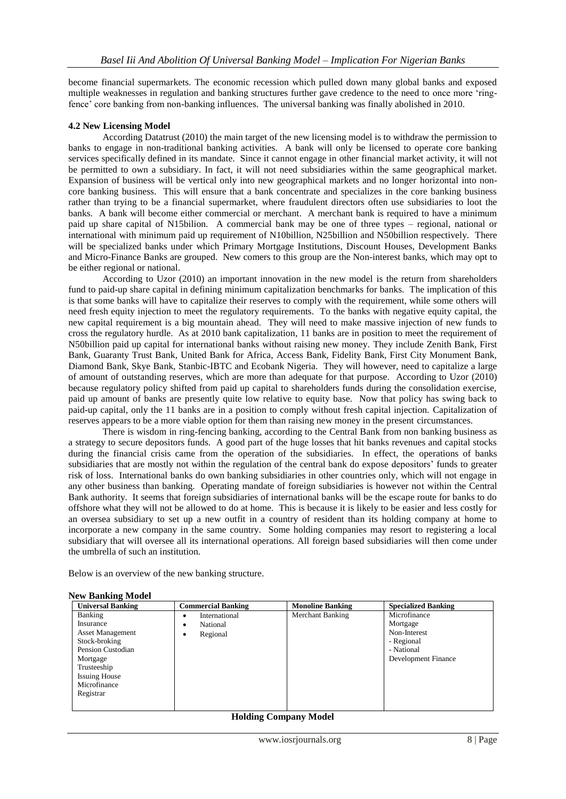become financial supermarkets. The economic recession which pulled down many global banks and exposed multiple weaknesses in regulation and banking structures further gave credence to the need to once more "ringfence" core banking from non-banking influences. The universal banking was finally abolished in 2010.

#### **4.2 New Licensing Model**

According Datatrust (2010) the main target of the new licensing model is to withdraw the permission to banks to engage in non-traditional banking activities. A bank will only be licensed to operate core banking services specifically defined in its mandate. Since it cannot engage in other financial market activity, it will not be permitted to own a subsidiary. In fact, it will not need subsidiaries within the same geographical market. Expansion of business will be vertical only into new geographical markets and no longer horizontal into noncore banking business. This will ensure that a bank concentrate and specializes in the core banking business rather than trying to be a financial supermarket, where fraudulent directors often use subsidiaries to loot the banks. A bank will become either commercial or merchant. A merchant bank is required to have a minimum paid up share capital of N15bilion. A commercial bank may be one of three types – regional, national or international with minimum paid up requirement of N10billion, N25billion and N50billion respectively. There will be specialized banks under which Primary Mortgage Institutions, Discount Houses, Development Banks and Micro-Finance Banks are grouped. New comers to this group are the Non-interest banks, which may opt to be either regional or national.

According to Uzor (2010) an important innovation in the new model is the return from shareholders fund to paid-up share capital in defining minimum capitalization benchmarks for banks. The implication of this is that some banks will have to capitalize their reserves to comply with the requirement, while some others will need fresh equity injection to meet the regulatory requirements. To the banks with negative equity capital, the new capital requirement is a big mountain ahead. They will need to make massive injection of new funds to cross the regulatory hurdle. As at 2010 bank capitalization, 11 banks are in position to meet the requirement of N50billion paid up capital for international banks without raising new money. They include Zenith Bank, First Bank, Guaranty Trust Bank, United Bank for Africa, Access Bank, Fidelity Bank, First City Monument Bank, Diamond Bank, Skye Bank, Stanbic-IBTC and Ecobank Nigeria. They will however, need to capitalize a large of amount of outstanding reserves, which are more than adequate for that purpose. According to Uzor (2010) because regulatory policy shifted from paid up capital to shareholders funds during the consolidation exercise, paid up amount of banks are presently quite low relative to equity base. Now that policy has swing back to paid-up capital, only the 11 banks are in a position to comply without fresh capital injection. Capitalization of reserves appears to be a more viable option for them than raising new money in the present circumstances.

There is wisdom in ring-fencing banking, according to the Central Bank from non banking business as a strategy to secure depositors funds. A good part of the huge losses that hit banks revenues and capital stocks during the financial crisis came from the operation of the subsidiaries. In effect, the operations of banks subsidiaries that are mostly not within the regulation of the central bank do expose depositors' funds to greater risk of loss. International banks do own banking subsidiaries in other countries only, which will not engage in any other business than banking. Operating mandate of foreign subsidiaries is however not within the Central Bank authority. It seems that foreign subsidiaries of international banks will be the escape route for banks to do offshore what they will not be allowed to do at home. This is because it is likely to be easier and less costly for an oversea subsidiary to set up a new outfit in a country of resident than its holding company at home to incorporate a new company in the same country. Some holding companies may resort to registering a local subsidiary that will oversee all its international operations. All foreign based subsidiaries will then come under the umbrella of such an institution.

Below is an overview of the new banking structure.

| <b>Universal Banking</b> | <b>Commercial Banking</b> | <b>Monoline Banking</b> | <b>Specialized Banking</b> |
|--------------------------|---------------------------|-------------------------|----------------------------|
| Banking                  | International<br>٠        | Merchant Banking        | Microfinance               |
| Insurance                | National<br>٠             |                         | Mortgage                   |
| <b>Asset Management</b>  | Regional<br>٠             |                         | Non-Interest               |
| Stock-broking            |                           |                         | - Regional                 |
| Pension Custodian        |                           |                         | - National                 |
| Mortgage                 |                           |                         | Development Finance        |
| Trusteeship              |                           |                         |                            |
| <b>Issuing House</b>     |                           |                         |                            |
| Microfinance             |                           |                         |                            |
| Registrar                |                           |                         |                            |
|                          |                           |                         |                            |

#### **New Banking Model**

#### **Holding Company Model**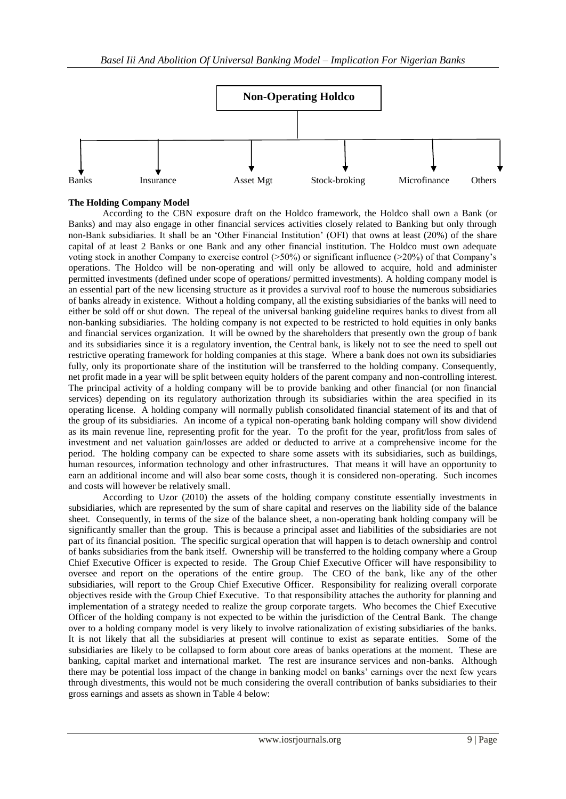

## **The Holding Company Model**

According to the CBN exposure draft on the Holdco framework, the Holdco shall own a Bank (or Banks) and may also engage in other financial services activities closely related to Banking but only through non-Bank subsidiaries. It shall be an "Other Financial Institution" (OFI) that owns at least (20%) of the share capital of at least 2 Banks or one Bank and any other financial institution. The Holdco must own adequate voting stock in another Company to exercise control (>50%) or significant influence (>20%) of that Company"s operations. The Holdco will be non-operating and will only be allowed to acquire, hold and administer permitted investments (defined under scope of operations/ permitted investments). A holding company model is an essential part of the new licensing structure as it provides a survival roof to house the numerous subsidiaries of banks already in existence. Without a holding company, all the existing subsidiaries of the banks will need to either be sold off or shut down. The repeal of the universal banking guideline requires banks to divest from all non-banking subsidiaries. The holding company is not expected to be restricted to hold equities in only banks and financial services organization. It will be owned by the shareholders that presently own the group of bank and its subsidiaries since it is a regulatory invention, the Central bank, is likely not to see the need to spell out restrictive operating framework for holding companies at this stage. Where a bank does not own its subsidiaries fully, only its proportionate share of the institution will be transferred to the holding company. Consequently, net profit made in a year will be split between equity holders of the parent company and non-controlling interest. The principal activity of a holding company will be to provide banking and other financial (or non financial services) depending on its regulatory authorization through its subsidiaries within the area specified in its operating license. A holding company will normally publish consolidated financial statement of its and that of the group of its subsidiaries. An income of a typical non-operating bank holding company will show dividend as its main revenue line, representing profit for the year. To the profit for the year, profit/loss from sales of investment and net valuation gain/losses are added or deducted to arrive at a comprehensive income for the period. The holding company can be expected to share some assets with its subsidiaries, such as buildings, human resources, information technology and other infrastructures. That means it will have an opportunity to earn an additional income and will also bear some costs, though it is considered non-operating. Such incomes and costs will however be relatively small.

According to Uzor (2010) the assets of the holding company constitute essentially investments in subsidiaries, which are represented by the sum of share capital and reserves on the liability side of the balance sheet. Consequently, in terms of the size of the balance sheet, a non-operating bank holding company will be significantly smaller than the group. This is because a principal asset and liabilities of the subsidiaries are not part of its financial position. The specific surgical operation that will happen is to detach ownership and control of banks subsidiaries from the bank itself. Ownership will be transferred to the holding company where a Group Chief Executive Officer is expected to reside. The Group Chief Executive Officer will have responsibility to oversee and report on the operations of the entire group. The CEO of the bank, like any of the other subsidiaries, will report to the Group Chief Executive Officer. Responsibility for realizing overall corporate objectives reside with the Group Chief Executive. To that responsibility attaches the authority for planning and implementation of a strategy needed to realize the group corporate targets. Who becomes the Chief Executive Officer of the holding company is not expected to be within the jurisdiction of the Central Bank. The change over to a holding company model is very likely to involve rationalization of existing subsidiaries of the banks. It is not likely that all the subsidiaries at present will continue to exist as separate entities. Some of the subsidiaries are likely to be collapsed to form about core areas of banks operations at the moment. These are banking, capital market and international market. The rest are insurance services and non-banks. Although there may be potential loss impact of the change in banking model on banks" earnings over the next few years through divestments, this would not be much considering the overall contribution of banks subsidiaries to their gross earnings and assets as shown in Table 4 below: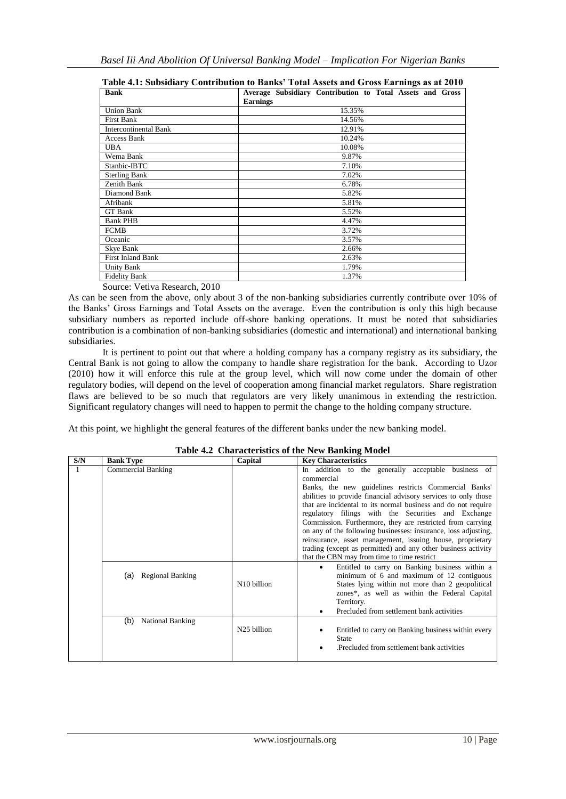| $\blacksquare$                               | Construction to Daniely, Total Holocell and OT000 Dataming all $\bullet$ of $\bullet$ |
|----------------------------------------------|---------------------------------------------------------------------------------------|
| <b>Bank</b>                                  | Average Subsidiary Contribution to Total Assets and Gross<br><b>Earnings</b>          |
| <b>Union Bank</b>                            | 15.35%                                                                                |
| First Bank                                   | 14.56%                                                                                |
| <b>Intercontinental Bank</b>                 | 12.91%                                                                                |
| Access Bank                                  | 10.24%                                                                                |
| <b>UBA</b>                                   | 10.08%                                                                                |
| Wema Bank                                    | 9.87%                                                                                 |
| Stanbic-IBTC                                 | 7.10%                                                                                 |
| <b>Sterling Bank</b>                         | 7.02%                                                                                 |
| Zenith Bank                                  | 6.78%                                                                                 |
| Diamond Bank                                 | 5.82%                                                                                 |
| Afribank                                     | 5.81%                                                                                 |
| GT Bank                                      | 5.52%                                                                                 |
| <b>Bank PHB</b>                              | 4.47%                                                                                 |
| <b>FCMB</b>                                  | 3.72%                                                                                 |
| Oceanic                                      | 3.57%                                                                                 |
| Skye Bank                                    | 2.66%                                                                                 |
| <b>First Inland Bank</b>                     | 2.63%                                                                                 |
| <b>Unity Bank</b>                            | 1.79%                                                                                 |
| <b>Fidelity Bank</b>                         | 1.37%                                                                                 |
| $\alpha$ $\mathbf{v}$ $\mathbf{v}$<br>1.2010 |                                                                                       |

**Table 4.1: Subsidiary Contribution to Banks' Total Assets and Gross Earnings as at 2010**

Source: Vetiva Research, 2010

As can be seen from the above, only about 3 of the non-banking subsidiaries currently contribute over 10% of the Banks" Gross Earnings and Total Assets on the average. Even the contribution is only this high because subsidiary numbers as reported include off-shore banking operations. It must be noted that subsidiaries contribution is a combination of non-banking subsidiaries (domestic and international) and international banking subsidiaries.

It is pertinent to point out that where a holding company has a company registry as its subsidiary, the Central Bank is not going to allow the company to handle share registration for the bank. According to Uzor (2010) how it will enforce this rule at the group level, which will now come under the domain of other regulatory bodies, will depend on the level of cooperation among financial market regulators. Share registration flaws are believed to be so much that regulators are very likely unanimous in extending the restriction. Significant regulatory changes will need to happen to permit the change to the holding company structure.

At this point, we highlight the general features of the different banks under the new banking model.

| S/N | <b>Bank Type</b>               | Capital                 | <b>Key Characteristics</b>                                                                                                                                                                                                                                                                                                                                       |
|-----|--------------------------------|-------------------------|------------------------------------------------------------------------------------------------------------------------------------------------------------------------------------------------------------------------------------------------------------------------------------------------------------------------------------------------------------------|
|     | <b>Commercial Banking</b>      |                         | In addition to the generally acceptable business of<br>commercial<br>Banks, the new guidelines restricts Commercial Banks'<br>abilities to provide financial advisory services to only those<br>that are incidental to its normal business and do not require                                                                                                    |
|     |                                |                         | regulatory filings with the Securities and Exchange<br>Commission. Furthermore, they are restricted from carrying<br>on any of the following businesses: insurance, loss adjusting,<br>reinsurance, asset management, issuing house, proprietary<br>trading (except as permitted) and any other business activity<br>that the CBN may from time to time restrict |
|     | <b>Regional Banking</b><br>(a) | N <sub>10</sub> billion | Entitled to carry on Banking business within a<br>$\bullet$<br>minimum of 6 and maximum of 12 contiguous<br>States lying within not more than 2 geopolitical<br>zones*, as well as within the Federal Capital<br>Territory.<br>Precluded from settlement bank activities                                                                                         |
|     | (b)<br><b>National Banking</b> | N <sub>25</sub> billion | Entitled to carry on Banking business within every<br>State<br>Precluded from settlement bank activities                                                                                                                                                                                                                                                         |

#### **Table 4.2 Characteristics of the New Banking Model**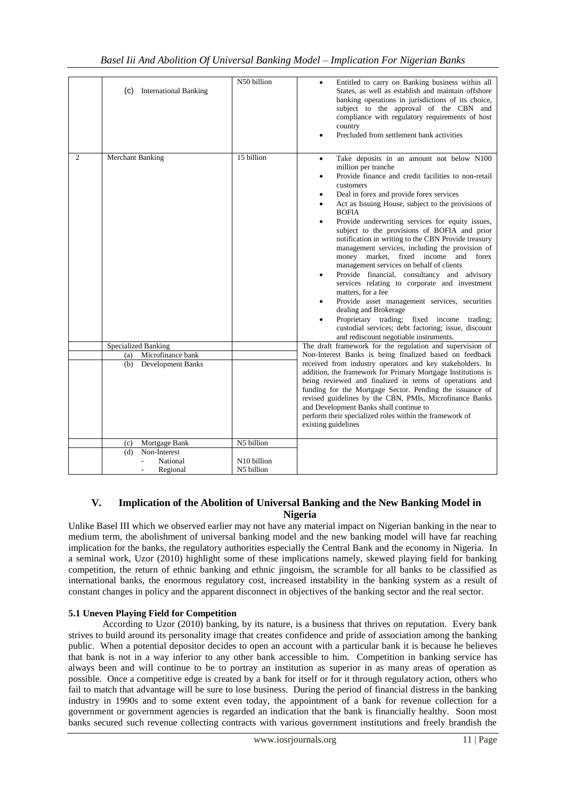| <b>International Banking</b><br>(C) | N50 billion                           | Entitled to carry on Banking business within all<br>States, as well as establish and maintain offshore<br>banking operations in jurisdictions of its choice,<br>subject to the approval of the CBN and<br>compliance with regulatory requirements of host<br>country<br>Precluded from settlement bank activities                                                                                                                                                                                                                                                                                                                                                                                                                                                                                                                                                                                                                         |
|-------------------------------------|---------------------------------------|-------------------------------------------------------------------------------------------------------------------------------------------------------------------------------------------------------------------------------------------------------------------------------------------------------------------------------------------------------------------------------------------------------------------------------------------------------------------------------------------------------------------------------------------------------------------------------------------------------------------------------------------------------------------------------------------------------------------------------------------------------------------------------------------------------------------------------------------------------------------------------------------------------------------------------------------|
| $\mathfrak{D}$<br>Merchant Banking  | 15 billion                            | Take deposits in an amount not below N100<br>٠<br>million per tranche<br>Provide finance and credit facilities to non-retail<br>customers<br>Deal in forex and provide forex services<br>$\bullet$<br>Act as Issuing House, subject to the provisions of<br><b>BOFIA</b><br>Provide underwriting services for equity issues,<br>subject to the provisions of BOFIA and prior<br>notification in writing to the CBN Provide treasury<br>management services, including the provision of<br>money market, fixed income and<br>forex<br>management services on behalf of clients<br>Provide financial, consultancy and advisory<br>services relating to corporate and investment<br>matters, for a fee<br>Provide asset management services, securities<br>$\bullet$<br>dealing and Brokerage<br>Proprietary trading; fixed income trading;<br>custodial services; debt factoring; issue, discount<br>and rediscount negotiable instruments. |
| <b>Specialized Banking</b>          |                                       | The draft framework for the regulation and supervision of                                                                                                                                                                                                                                                                                                                                                                                                                                                                                                                                                                                                                                                                                                                                                                                                                                                                                 |
| Microfinance bank<br>(a)            |                                       | Non-Interest Banks is being finalized based on feedback                                                                                                                                                                                                                                                                                                                                                                                                                                                                                                                                                                                                                                                                                                                                                                                                                                                                                   |
| (b)<br><b>Development Banks</b>     |                                       | received from industry operators and key stakeholders. In<br>addition, the framework for Primary Mortgage Institutions is<br>being reviewed and finalized in terms of operations and<br>funding for the Mortgage Sector. Pending the issuance of<br>revised guidelines by the CBN, PMIs, Microfinance Banks<br>and Development Banks shall continue to<br>perform their specialized roles within the framework of<br>existing guidelines                                                                                                                                                                                                                                                                                                                                                                                                                                                                                                  |
| Mortgage Bank<br>(c)                | N5 billion                            |                                                                                                                                                                                                                                                                                                                                                                                                                                                                                                                                                                                                                                                                                                                                                                                                                                                                                                                                           |
| Non-Interest<br>(d)                 |                                       |                                                                                                                                                                                                                                                                                                                                                                                                                                                                                                                                                                                                                                                                                                                                                                                                                                                                                                                                           |
| National<br>Regional                | N <sub>10</sub> billion<br>N5 billion |                                                                                                                                                                                                                                                                                                                                                                                                                                                                                                                                                                                                                                                                                                                                                                                                                                                                                                                                           |

## **V. Implication of the Abolition of Universal Banking and the New Banking Model in Nigeria**

Unlike Basel III which we observed earlier may not have any material impact on Nigerian banking in the near to medium term, the abolishment of universal banking model and the new banking model will have far reaching implication for the banks, the regulatory authorities especially the Central Bank and the economy in Nigeria. In a seminal work, Uzor (2010) highlight some of these implications namely, skewed playing field for banking competition, the return of ethnic banking and ethnic jingoism, the scramble for all banks to be classified as international banks, the enormous regulatory cost, increased instability in the banking system as a result of constant changes in policy and the apparent disconnect in objectives of the banking sector and the real sector.

# **5.1 Uneven Playing Field for Competition**

According to Uzor (2010) banking, by its nature, is a business that thrives on reputation. Every bank strives to build around its personality image that creates confidence and pride of association among the banking public. When a potential depositor decides to open an account with a particular bank it is because he believes that bank is not in a way inferior to any other bank accessible to him. Competition in banking service has always been and will continue to be to portray an institution as superior in as many areas of operation as possible. Once a competitive edge is created by a bank for itself or for it through regulatory action, others who fail to match that advantage will be sure to lose business. During the period of financial distress in the banking industry in 1990s and to some extent even today, the appointment of a bank for revenue collection for a government or government agencies is regarded an indication that the bank is financially healthy. Soon most banks secured such revenue collecting contracts with various government institutions and freely brandish the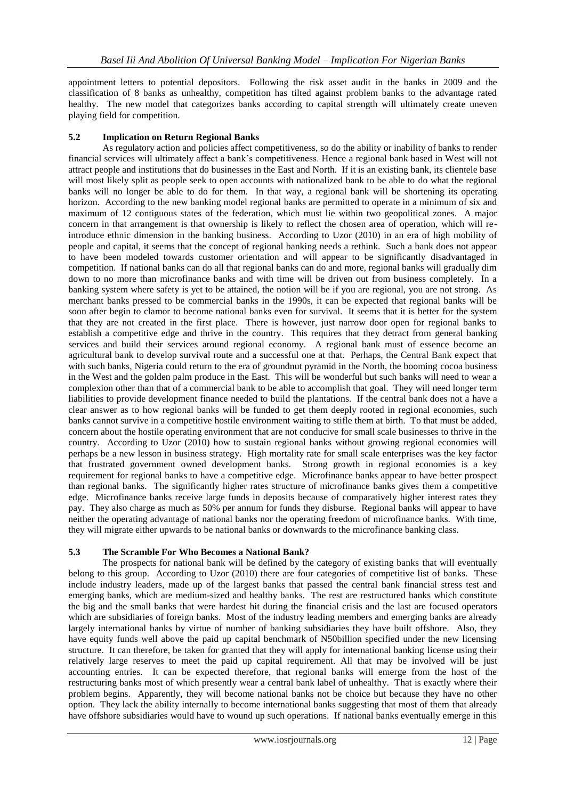appointment letters to potential depositors. Following the risk asset audit in the banks in 2009 and the classification of 8 banks as unhealthy, competition has tilted against problem banks to the advantage rated healthy. The new model that categorizes banks according to capital strength will ultimately create uneven playing field for competition.

## **5.2 Implication on Return Regional Banks**

As regulatory action and policies affect competitiveness, so do the ability or inability of banks to render financial services will ultimately affect a bank"s competitiveness. Hence a regional bank based in West will not attract people and institutions that do businesses in the East and North. If it is an existing bank, its clientele base will most likely split as people seek to open accounts with nationalized bank to be able to do what the regional banks will no longer be able to do for them. In that way, a regional bank will be shortening its operating horizon. According to the new banking model regional banks are permitted to operate in a minimum of six and maximum of 12 contiguous states of the federation, which must lie within two geopolitical zones. A major concern in that arrangement is that ownership is likely to reflect the chosen area of operation, which will reintroduce ethnic dimension in the banking business. According to Uzor (2010) in an era of high mobility of people and capital, it seems that the concept of regional banking needs a rethink. Such a bank does not appear to have been modeled towards customer orientation and will appear to be significantly disadvantaged in competition. If national banks can do all that regional banks can do and more, regional banks will gradually dim down to no more than microfinance banks and with time will be driven out from business completely. In a banking system where safety is yet to be attained, the notion will be if you are regional, you are not strong. As merchant banks pressed to be commercial banks in the 1990s, it can be expected that regional banks will be soon after begin to clamor to become national banks even for survival. It seems that it is better for the system that they are not created in the first place. There is however, just narrow door open for regional banks to establish a competitive edge and thrive in the country. This requires that they detract from general banking services and build their services around regional economy. A regional bank must of essence become an agricultural bank to develop survival route and a successful one at that. Perhaps, the Central Bank expect that with such banks, Nigeria could return to the era of groundnut pyramid in the North, the booming cocoa business in the West and the golden palm produce in the East. This will be wonderful but such banks will need to wear a complexion other than that of a commercial bank to be able to accomplish that goal. They will need longer term liabilities to provide development finance needed to build the plantations. If the central bank does not a have a clear answer as to how regional banks will be funded to get them deeply rooted in regional economies, such banks cannot survive in a competitive hostile environment waiting to stifle them at birth. To that must be added, concern about the hostile operating environment that are not conducive for small scale businesses to thrive in the country. According to Uzor (2010) how to sustain regional banks without growing regional economies will perhaps be a new lesson in business strategy. High mortality rate for small scale enterprises was the key factor that frustrated government owned development banks. Strong growth in regional economies is a key requirement for regional banks to have a competitive edge. Microfinance banks appear to have better prospect than regional banks. The significantly higher rates structure of microfinance banks gives them a competitive edge. Microfinance banks receive large funds in deposits because of comparatively higher interest rates they pay. They also charge as much as 50% per annum for funds they disburse. Regional banks will appear to have neither the operating advantage of national banks nor the operating freedom of microfinance banks. With time, they will migrate either upwards to be national banks or downwards to the microfinance banking class.

# **5.3 The Scramble For Who Becomes a National Bank?**

The prospects for national bank will be defined by the category of existing banks that will eventually belong to this group. According to Uzor (2010) there are four categories of competitive list of banks. These include industry leaders, made up of the largest banks that passed the central bank financial stress test and emerging banks, which are medium-sized and healthy banks. The rest are restructured banks which constitute the big and the small banks that were hardest hit during the financial crisis and the last are focused operators which are subsidiaries of foreign banks. Most of the industry leading members and emerging banks are already largely international banks by virtue of number of banking subsidiaries they have built offshore. Also, they have equity funds well above the paid up capital benchmark of N50billion specified under the new licensing structure. It can therefore, be taken for granted that they will apply for international banking license using their relatively large reserves to meet the paid up capital requirement. All that may be involved will be just accounting entries. It can be expected therefore, that regional banks will emerge from the host of the restructuring banks most of which presently wear a central bank label of unhealthy. That is exactly where their problem begins. Apparently, they will become national banks not be choice but because they have no other option. They lack the ability internally to become international banks suggesting that most of them that already have offshore subsidiaries would have to wound up such operations. If national banks eventually emerge in this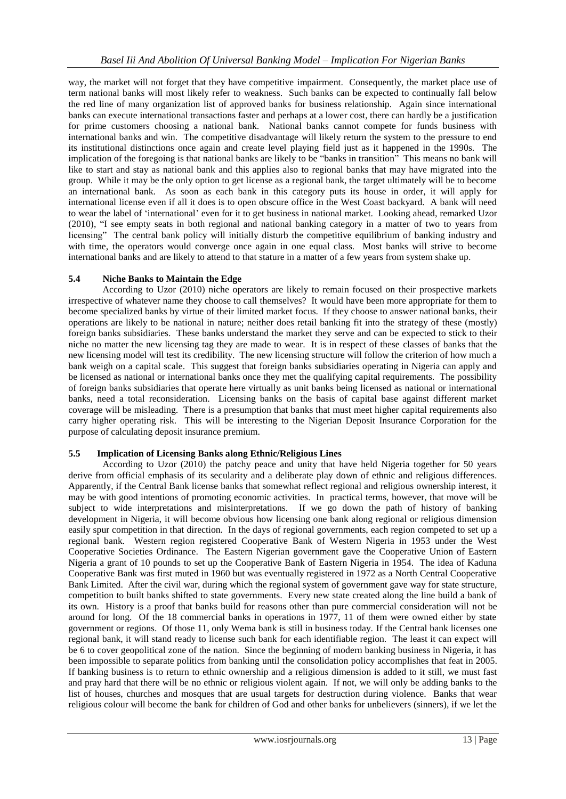way, the market will not forget that they have competitive impairment. Consequently, the market place use of term national banks will most likely refer to weakness. Such banks can be expected to continually fall below the red line of many organization list of approved banks for business relationship. Again since international banks can execute international transactions faster and perhaps at a lower cost, there can hardly be a justification for prime customers choosing a national bank. National banks cannot compete for funds business with international banks and win. The competitive disadvantage will likely return the system to the pressure to end its institutional distinctions once again and create level playing field just as it happened in the 1990s. The implication of the foregoing is that national banks are likely to be "banks in transition" This means no bank will like to start and stay as national bank and this applies also to regional banks that may have migrated into the group. While it may be the only option to get license as a regional bank, the target ultimately will be to become an international bank. As soon as each bank in this category puts its house in order, it will apply for international license even if all it does is to open obscure office in the West Coast backyard. A bank will need to wear the label of "international" even for it to get business in national market. Looking ahead, remarked Uzor (2010), "I see empty seats in both regional and national banking category in a matter of two to years from licensing" The central bank policy will initially disturb the competitive equilibrium of banking industry and with time, the operators would converge once again in one equal class. Most banks will strive to become international banks and are likely to attend to that stature in a matter of a few years from system shake up.

#### **5.4 Niche Banks to Maintain the Edge**

According to Uzor (2010) niche operators are likely to remain focused on their prospective markets irrespective of whatever name they choose to call themselves? It would have been more appropriate for them to become specialized banks by virtue of their limited market focus. If they choose to answer national banks, their operations are likely to be national in nature; neither does retail banking fit into the strategy of these (mostly) foreign banks subsidiaries. These banks understand the market they serve and can be expected to stick to their niche no matter the new licensing tag they are made to wear. It is in respect of these classes of banks that the new licensing model will test its credibility. The new licensing structure will follow the criterion of how much a bank weigh on a capital scale. This suggest that foreign banks subsidiaries operating in Nigeria can apply and be licensed as national or international banks once they met the qualifying capital requirements. The possibility of foreign banks subsidiaries that operate here virtually as unit banks being licensed as national or international banks, need a total reconsideration. Licensing banks on the basis of capital base against different market coverage will be misleading. There is a presumption that banks that must meet higher capital requirements also carry higher operating risk. This will be interesting to the Nigerian Deposit Insurance Corporation for the purpose of calculating deposit insurance premium.

#### **5.5 Implication of Licensing Banks along Ethnic/Religious Lines**

According to Uzor (2010) the patchy peace and unity that have held Nigeria together for 50 years derive from official emphasis of its secularity and a deliberate play down of ethnic and religious differences. Apparently, if the Central Bank license banks that somewhat reflect regional and religious ownership interest, it may be with good intentions of promoting economic activities. In practical terms, however, that move will be subject to wide interpretations and misinterpretations. If we go down the path of history of banking development in Nigeria, it will become obvious how licensing one bank along regional or religious dimension easily spur competition in that direction. In the days of regional governments, each region competed to set up a regional bank. Western region registered Cooperative Bank of Western Nigeria in 1953 under the West Cooperative Societies Ordinance. The Eastern Nigerian government gave the Cooperative Union of Eastern Nigeria a grant of 10 pounds to set up the Cooperative Bank of Eastern Nigeria in 1954. The idea of Kaduna Cooperative Bank was first muted in 1960 but was eventually registered in 1972 as a North Central Cooperative Bank Limited. After the civil war, during which the regional system of government gave way for state structure, competition to built banks shifted to state governments. Every new state created along the line build a bank of its own. History is a proof that banks build for reasons other than pure commercial consideration will not be around for long. Of the 18 commercial banks in operations in 1977, 11 of them were owned either by state government or regions. Of those 11, only Wema bank is still in business today. If the Central bank licenses one regional bank, it will stand ready to license such bank for each identifiable region. The least it can expect will be 6 to cover geopolitical zone of the nation. Since the beginning of modern banking business in Nigeria, it has been impossible to separate politics from banking until the consolidation policy accomplishes that feat in 2005. If banking business is to return to ethnic ownership and a religious dimension is added to it still, we must fast and pray hard that there will be no ethnic or religious violent again. If not, we will only be adding banks to the list of houses, churches and mosques that are usual targets for destruction during violence. Banks that wear religious colour will become the bank for children of God and other banks for unbelievers (sinners), if we let the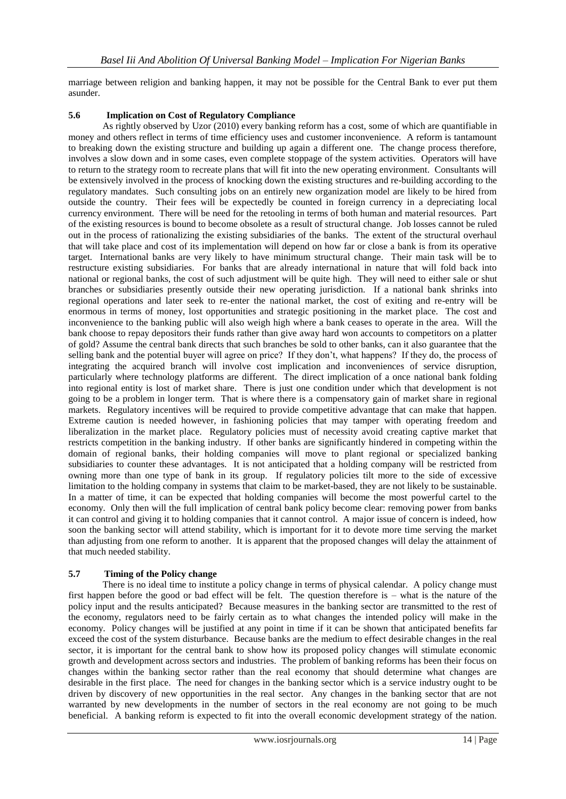marriage between religion and banking happen, it may not be possible for the Central Bank to ever put them asunder.

### **5.6 Implication on Cost of Regulatory Compliance**

As rightly observed by Uzor (2010) every banking reform has a cost, some of which are quantifiable in money and others reflect in terms of time efficiency uses and customer inconvenience. A reform is tantamount to breaking down the existing structure and building up again a different one. The change process therefore, involves a slow down and in some cases, even complete stoppage of the system activities. Operators will have to return to the strategy room to recreate plans that will fit into the new operating environment. Consultants will be extensively involved in the process of knocking down the existing structures and re-building according to the regulatory mandates. Such consulting jobs on an entirely new organization model are likely to be hired from outside the country. Their fees will be expectedly be counted in foreign currency in a depreciating local currency environment. There will be need for the retooling in terms of both human and material resources. Part of the existing resources is bound to become obsolete as a result of structural change. Job losses cannot be ruled out in the process of rationalizing the existing subsidiaries of the banks. The extent of the structural overhaul that will take place and cost of its implementation will depend on how far or close a bank is from its operative target. International banks are very likely to have minimum structural change. Their main task will be to restructure existing subsidiaries. For banks that are already international in nature that will fold back into national or regional banks, the cost of such adjustment will be quite high. They will need to either sale or shut branches or subsidiaries presently outside their new operating jurisdiction. If a national bank shrinks into regional operations and later seek to re-enter the national market, the cost of exiting and re-entry will be enormous in terms of money, lost opportunities and strategic positioning in the market place. The cost and inconvenience to the banking public will also weigh high where a bank ceases to operate in the area. Will the bank choose to repay depositors their funds rather than give away hard won accounts to competitors on a platter of gold? Assume the central bank directs that such branches be sold to other banks, can it also guarantee that the selling bank and the potential buyer will agree on price? If they don"t, what happens? If they do, the process of integrating the acquired branch will involve cost implication and inconveniences of service disruption, particularly where technology platforms are different. The direct implication of a once national bank folding into regional entity is lost of market share. There is just one condition under which that development is not going to be a problem in longer term. That is where there is a compensatory gain of market share in regional markets. Regulatory incentives will be required to provide competitive advantage that can make that happen. Extreme caution is needed however, in fashioning policies that may tamper with operating freedom and liberalization in the market place. Regulatory policies must of necessity avoid creating captive market that restricts competition in the banking industry. If other banks are significantly hindered in competing within the domain of regional banks, their holding companies will move to plant regional or specialized banking subsidiaries to counter these advantages. It is not anticipated that a holding company will be restricted from owning more than one type of bank in its group. If regulatory policies tilt more to the side of excessive limitation to the holding company in systems that claim to be market-based, they are not likely to be sustainable. In a matter of time, it can be expected that holding companies will become the most powerful cartel to the economy. Only then will the full implication of central bank policy become clear: removing power from banks it can control and giving it to holding companies that it cannot control. A major issue of concern is indeed, how soon the banking sector will attend stability, which is important for it to devote more time serving the market than adjusting from one reform to another. It is apparent that the proposed changes will delay the attainment of that much needed stability.

#### **5.7 Timing of the Policy change**

There is no ideal time to institute a policy change in terms of physical calendar. A policy change must first happen before the good or bad effect will be felt. The question therefore is – what is the nature of the policy input and the results anticipated? Because measures in the banking sector are transmitted to the rest of the economy, regulators need to be fairly certain as to what changes the intended policy will make in the economy. Policy changes will be justified at any point in time if it can be shown that anticipated benefits far exceed the cost of the system disturbance. Because banks are the medium to effect desirable changes in the real sector, it is important for the central bank to show how its proposed policy changes will stimulate economic growth and development across sectors and industries. The problem of banking reforms has been their focus on changes within the banking sector rather than the real economy that should determine what changes are desirable in the first place. The need for changes in the banking sector which is a service industry ought to be driven by discovery of new opportunities in the real sector. Any changes in the banking sector that are not warranted by new developments in the number of sectors in the real economy are not going to be much beneficial. A banking reform is expected to fit into the overall economic development strategy of the nation.